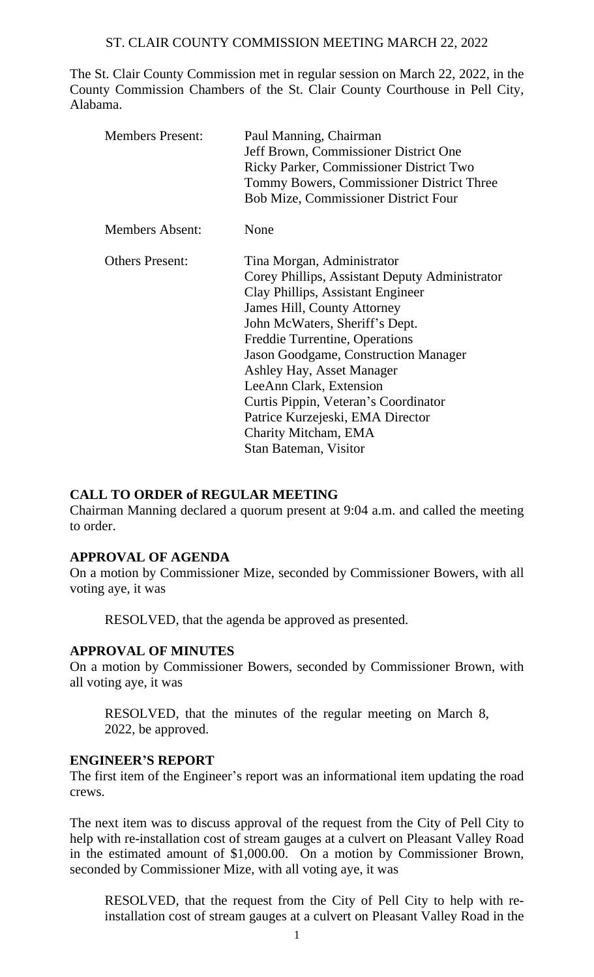The St. Clair County Commission met in regular session on March 22, 2022, in the County Commission Chambers of the St. Clair County Courthouse in Pell City, Alabama.

| <b>Members Present:</b> | Paul Manning, Chairman<br>Jeff Brown, Commissioner District One<br>Ricky Parker, Commissioner District Two<br>Tommy Bowers, Commissioner District Three<br><b>Bob Mize, Commissioner District Four</b>                                                                                                                                                                                                                                            |
|-------------------------|---------------------------------------------------------------------------------------------------------------------------------------------------------------------------------------------------------------------------------------------------------------------------------------------------------------------------------------------------------------------------------------------------------------------------------------------------|
| <b>Members Absent:</b>  | None                                                                                                                                                                                                                                                                                                                                                                                                                                              |
| <b>Others Present:</b>  | Tina Morgan, Administrator<br>Corey Phillips, Assistant Deputy Administrator<br>Clay Phillips, Assistant Engineer<br>James Hill, County Attorney<br>John McWaters, Sheriff's Dept.<br>Freddie Turrentine, Operations<br>Jason Goodgame, Construction Manager<br>Ashley Hay, Asset Manager<br>LeeAnn Clark, Extension<br>Curtis Pippin, Veteran's Coordinator<br>Patrice Kurzejeski, EMA Director<br>Charity Mitcham, EMA<br>Stan Bateman, Visitor |

# **CALL TO ORDER of REGULAR MEETING**

Chairman Manning declared a quorum present at 9:04 a.m. and called the meeting to order.

#### **APPROVAL OF AGENDA**

On a motion by Commissioner Mize, seconded by Commissioner Bowers, with all voting aye, it was

RESOLVED, that the agenda be approved as presented.

#### **APPROVAL OF MINUTES**

On a motion by Commissioner Bowers, seconded by Commissioner Brown, with all voting aye, it was

RESOLVED, that the minutes of the regular meeting on March 8, 2022, be approved.

#### **ENGINEER'S REPORT**

The first item of the Engineer's report was an informational item updating the road crews.

The next item was to discuss approval of the request from the City of Pell City to help with re-installation cost of stream gauges at a culvert on Pleasant Valley Road in the estimated amount of \$1,000.00. On a motion by Commissioner Brown, seconded by Commissioner Mize, with all voting aye, it was

RESOLVED, that the request from the City of Pell City to help with reinstallation cost of stream gauges at a culvert on Pleasant Valley Road in the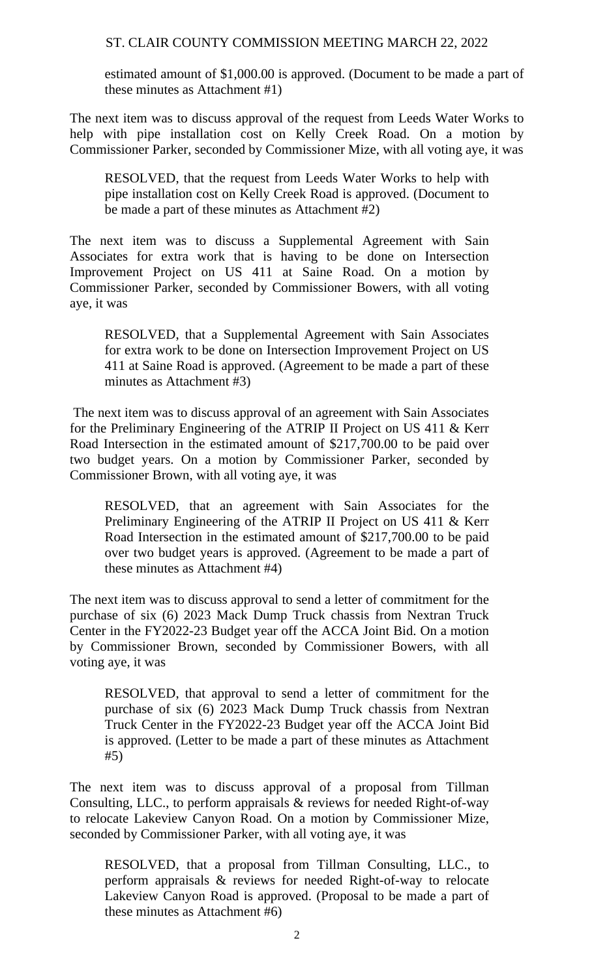estimated amount of \$1,000.00 is approved. (Document to be made a part of these minutes as Attachment #1)

The next item was to discuss approval of the request from Leeds Water Works to help with pipe installation cost on Kelly Creek Road. On a motion by Commissioner Parker, seconded by Commissioner Mize, with all voting aye, it was

RESOLVED, that the request from Leeds Water Works to help with pipe installation cost on Kelly Creek Road is approved. (Document to be made a part of these minutes as Attachment #2)

The next item was to discuss a Supplemental Agreement with Sain Associates for extra work that is having to be done on Intersection Improvement Project on US 411 at Saine Road. On a motion by Commissioner Parker, seconded by Commissioner Bowers, with all voting aye, it was

RESOLVED, that a Supplemental Agreement with Sain Associates for extra work to be done on Intersection Improvement Project on US 411 at Saine Road is approved. (Agreement to be made a part of these minutes as Attachment #3)

The next item was to discuss approval of an agreement with Sain Associates for the Preliminary Engineering of the ATRIP II Project on US 411 & Kerr Road Intersection in the estimated amount of \$217,700.00 to be paid over two budget years. On a motion by Commissioner Parker, seconded by Commissioner Brown, with all voting aye, it was

RESOLVED, that an agreement with Sain Associates for the Preliminary Engineering of the ATRIP II Project on US 411 & Kerr Road Intersection in the estimated amount of \$217,700.00 to be paid over two budget years is approved. (Agreement to be made a part of these minutes as Attachment #4)

The next item was to discuss approval to send a letter of commitment for the purchase of six (6) 2023 Mack Dump Truck chassis from Nextran Truck Center in the FY2022-23 Budget year off the ACCA Joint Bid. On a motion by Commissioner Brown, seconded by Commissioner Bowers, with all voting aye, it was

RESOLVED, that approval to send a letter of commitment for the purchase of six (6) 2023 Mack Dump Truck chassis from Nextran Truck Center in the FY2022-23 Budget year off the ACCA Joint Bid is approved. (Letter to be made a part of these minutes as Attachment #5)

The next item was to discuss approval of a proposal from Tillman Consulting, LLC., to perform appraisals & reviews for needed Right-of-way to relocate Lakeview Canyon Road. On a motion by Commissioner Mize, seconded by Commissioner Parker, with all voting aye, it was

RESOLVED, that a proposal from Tillman Consulting, LLC., to perform appraisals & reviews for needed Right-of-way to relocate Lakeview Canyon Road is approved. (Proposal to be made a part of these minutes as Attachment #6)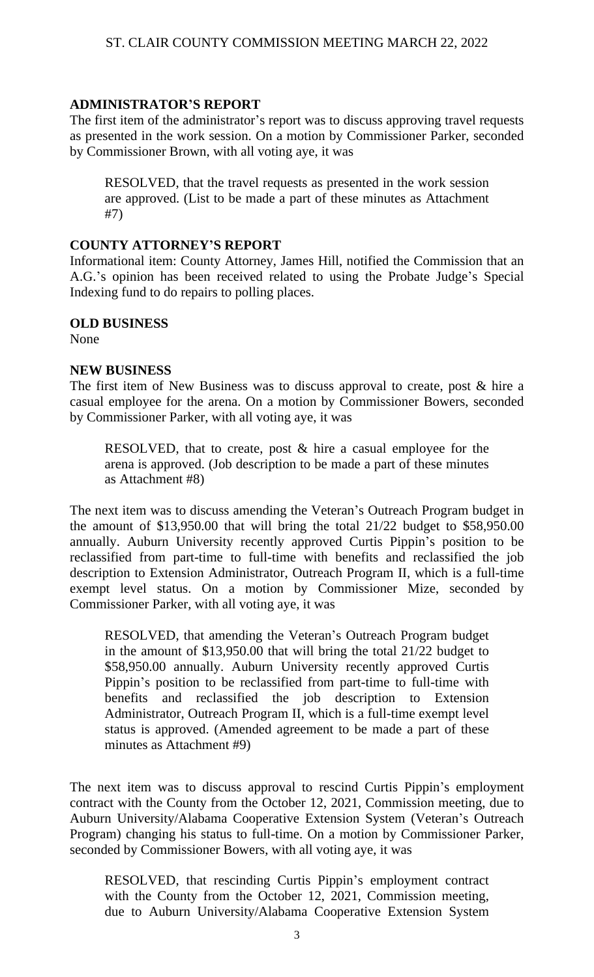# **ADMINISTRATOR'S REPORT**

The first item of the administrator's report was to discuss approving travel requests as presented in the work session. On a motion by Commissioner Parker, seconded by Commissioner Brown, with all voting aye, it was

RESOLVED, that the travel requests as presented in the work session are approved. (List to be made a part of these minutes as Attachment #7)

#### **COUNTY ATTORNEY'S REPORT**

Informational item: County Attorney, James Hill, notified the Commission that an A.G.'s opinion has been received related to using the Probate Judge's Special Indexing fund to do repairs to polling places.

## **OLD BUSINESS**

None

#### **NEW BUSINESS**

The first item of New Business was to discuss approval to create, post & hire a casual employee for the arena. On a motion by Commissioner Bowers, seconded by Commissioner Parker, with all voting aye, it was

RESOLVED, that to create, post  $\&$  hire a casual employee for the arena is approved. (Job description to be made a part of these minutes as Attachment #8)

The next item was to discuss amending the Veteran's Outreach Program budget in the amount of \$13,950.00 that will bring the total 21/22 budget to \$58,950.00 annually. Auburn University recently approved Curtis Pippin's position to be reclassified from part-time to full-time with benefits and reclassified the job description to Extension Administrator, Outreach Program II, which is a full-time exempt level status. On a motion by Commissioner Mize, seconded by Commissioner Parker, with all voting aye, it was

RESOLVED, that amending the Veteran's Outreach Program budget in the amount of \$13,950.00 that will bring the total 21/22 budget to \$58,950.00 annually. Auburn University recently approved Curtis Pippin's position to be reclassified from part-time to full-time with benefits and reclassified the job description to Extension Administrator, Outreach Program II, which is a full-time exempt level status is approved. (Amended agreement to be made a part of these minutes as Attachment #9)

The next item was to discuss approval to rescind Curtis Pippin's employment contract with the County from the October 12, 2021, Commission meeting, due to Auburn University/Alabama Cooperative Extension System (Veteran's Outreach Program) changing his status to full-time. On a motion by Commissioner Parker, seconded by Commissioner Bowers, with all voting aye, it was

RESOLVED, that rescinding Curtis Pippin's employment contract with the County from the October 12, 2021, Commission meeting, due to Auburn University/Alabama Cooperative Extension System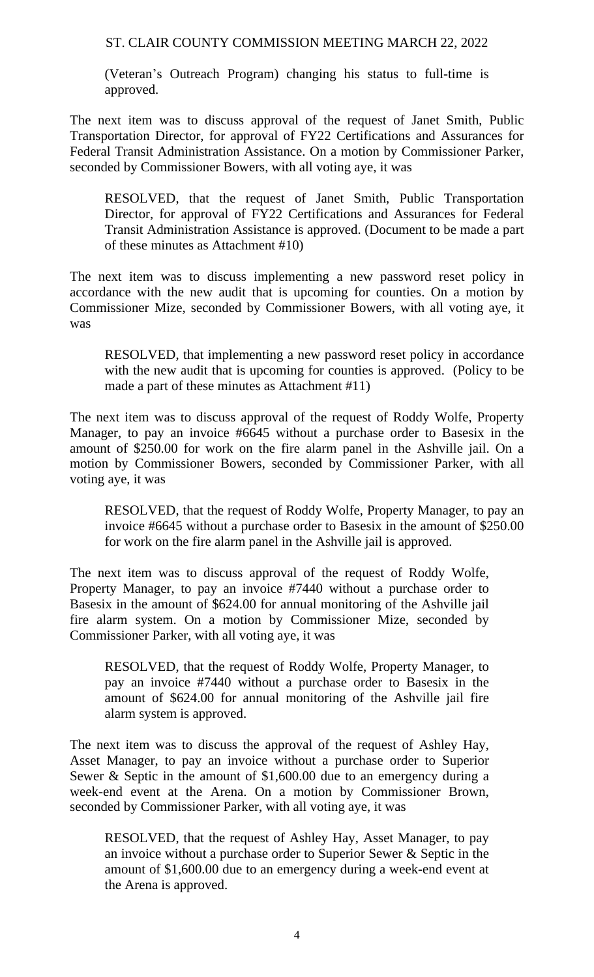(Veteran's Outreach Program) changing his status to full-time is approved.

The next item was to discuss approval of the request of Janet Smith, Public Transportation Director, for approval of FY22 Certifications and Assurances for Federal Transit Administration Assistance. On a motion by Commissioner Parker, seconded by Commissioner Bowers, with all voting aye, it was

RESOLVED, that the request of Janet Smith, Public Transportation Director, for approval of FY22 Certifications and Assurances for Federal Transit Administration Assistance is approved. (Document to be made a part of these minutes as Attachment #10)

The next item was to discuss implementing a new password reset policy in accordance with the new audit that is upcoming for counties. On a motion by Commissioner Mize, seconded by Commissioner Bowers, with all voting aye, it was

RESOLVED, that implementing a new password reset policy in accordance with the new audit that is upcoming for counties is approved. (Policy to be made a part of these minutes as Attachment #11)

The next item was to discuss approval of the request of Roddy Wolfe, Property Manager, to pay an invoice #6645 without a purchase order to Basesix in the amount of \$250.00 for work on the fire alarm panel in the Ashville jail. On a motion by Commissioner Bowers, seconded by Commissioner Parker, with all voting aye, it was

RESOLVED, that the request of Roddy Wolfe, Property Manager, to pay an invoice #6645 without a purchase order to Basesix in the amount of \$250.00 for work on the fire alarm panel in the Ashville jail is approved.

The next item was to discuss approval of the request of Roddy Wolfe, Property Manager, to pay an invoice #7440 without a purchase order to Basesix in the amount of \$624.00 for annual monitoring of the Ashville jail fire alarm system. On a motion by Commissioner Mize, seconded by Commissioner Parker, with all voting aye, it was

RESOLVED, that the request of Roddy Wolfe, Property Manager, to pay an invoice #7440 without a purchase order to Basesix in the amount of \$624.00 for annual monitoring of the Ashville jail fire alarm system is approved.

The next item was to discuss the approval of the request of Ashley Hay, Asset Manager, to pay an invoice without a purchase order to Superior Sewer & Septic in the amount of \$1,600.00 due to an emergency during a week-end event at the Arena. On a motion by Commissioner Brown, seconded by Commissioner Parker, with all voting aye, it was

RESOLVED, that the request of Ashley Hay, Asset Manager, to pay an invoice without a purchase order to Superior Sewer & Septic in the amount of \$1,600.00 due to an emergency during a week-end event at the Arena is approved.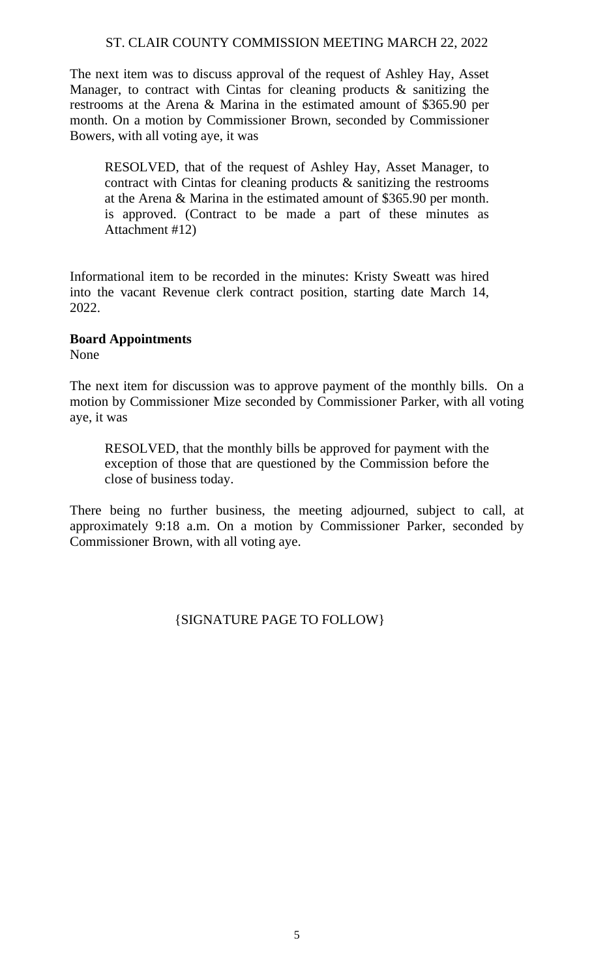The next item was to discuss approval of the request of Ashley Hay, Asset Manager, to contract with Cintas for cleaning products & sanitizing the restrooms at the Arena & Marina in the estimated amount of \$365.90 per month. On a motion by Commissioner Brown, seconded by Commissioner Bowers, with all voting aye, it was

RESOLVED, that of the request of Ashley Hay, Asset Manager, to contract with Cintas for cleaning products & sanitizing the restrooms at the Arena & Marina in the estimated amount of \$365.90 per month. is approved. (Contract to be made a part of these minutes as Attachment #12)

Informational item to be recorded in the minutes: Kristy Sweatt was hired into the vacant Revenue clerk contract position, starting date March 14, 2022.

# **Board Appointments**

None

The next item for discussion was to approve payment of the monthly bills. On a motion by Commissioner Mize seconded by Commissioner Parker, with all voting aye, it was

RESOLVED, that the monthly bills be approved for payment with the exception of those that are questioned by the Commission before the close of business today.

There being no further business, the meeting adjourned, subject to call, at approximately 9:18 a.m. On a motion by Commissioner Parker, seconded by Commissioner Brown, with all voting aye.

{SIGNATURE PAGE TO FOLLOW}